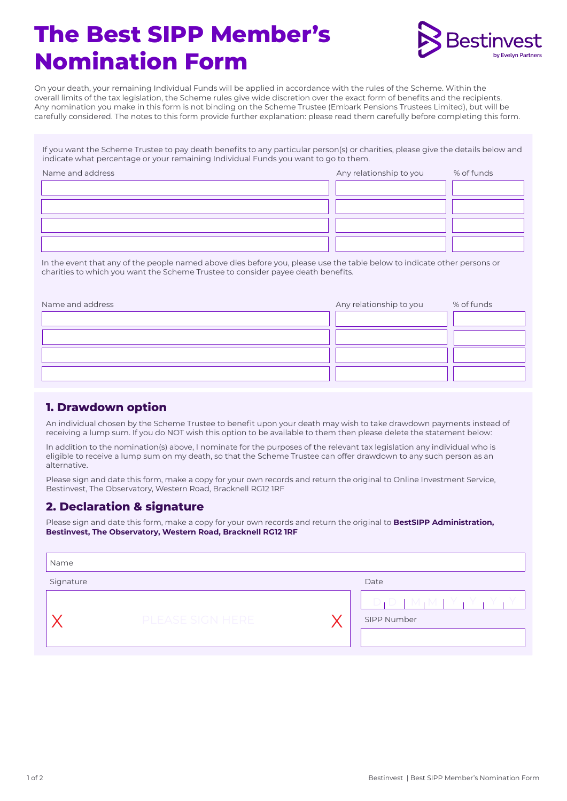# **The Best SIPP Member's Nomination Form**



On your death, your remaining Individual Funds will be applied in accordance with the rules of the Scheme. Within the overall limits of the tax legislation, the Scheme rules give wide discretion over the exact form of benefits and the recipients. Any nomination you make in this form is not binding on the Scheme Trustee (Embark Pensions Trustees Limited), but will be carefully considered. The notes to this form provide further explanation: please read them carefully before completing this form.

If you want the Scheme Trustee to pay death benefits to any particular person(s) or charities, please give the details below and indicate what percentage or your remaining Individual Funds you want to go to them.

| Name and address | Any relationship to you | % of funds |
|------------------|-------------------------|------------|
|                  |                         |            |
|                  |                         |            |
|                  |                         |            |
|                  |                         |            |
|                  |                         |            |

In the event that any of the people named above dies before you, please use the table below to indicate other persons or charities to which you want the Scheme Trustee to consider payee death benefits.

| Name and address | Any relationship to you | % of funds |
|------------------|-------------------------|------------|
|                  |                         |            |
|                  |                         |            |
|                  |                         |            |
|                  |                         |            |

## **1. Drawdown option**

An individual chosen by the Scheme Trustee to benefit upon your death may wish to take drawdown payments instead of receiving a lump sum. If you do NOT wish this option to be available to them then please delete the statement below:

In addition to the nomination(s) above, I nominate for the purposes of the relevant tax legislation any individual who is eligible to receive a lump sum on my death, so that the Scheme Trustee can offer drawdown to any such person as an alternative.

Please sign and date this form, make a copy for your own records and return the original to Online Investment Service, Bestinvest, The Observatory, Western Road, Bracknell RG12 1RF

## **2. Declaration & signature**

Please sign and date this form, make a copy for your own records and return the original to **BestSIPP Administration, Bestinvest, The Observatory, Western Road, Bracknell RG12 1RF** 

| Name      |                         |                               |
|-----------|-------------------------|-------------------------------|
| Signature |                         | Date                          |
|           | <b>PLEASE SIGN HERE</b> | $D_1D_2M_1M_2$<br>SIPP Number |